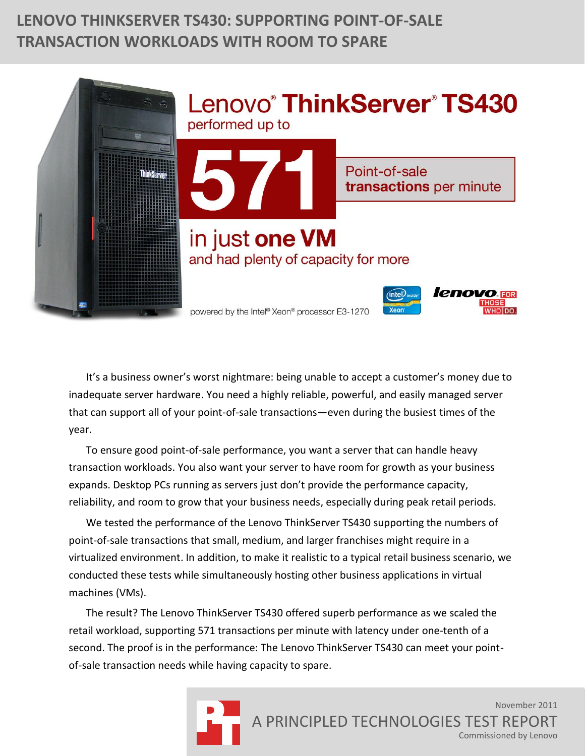# **LENOVO THINKSERVER TS430: SUPPORTING POINT-OF-SALE TRANSACTION WORKLOADS WITH ROOM TO SPARE**



It's a business owner's worst nightmare: being unable to accept a customer's money due to inadequate server hardware. You need a highly reliable, powerful, and easily managed server that can support all of your point-of-sale transactions—even during the busiest times of the year.

To ensure good point-of-sale performance, you want a server that can handle heavy transaction workloads. You also want your server to have room for growth as your business expands. Desktop PCs running as servers just don't provide the performance capacity, reliability, and room to grow that your business needs, especially during peak retail periods.

We tested the performance of the Lenovo ThinkServer TS430 supporting the numbers of point-of-sale transactions that small, medium, and larger franchises might require in a virtualized environment. In addition, to make it realistic to a typical retail business scenario, we conducted these tests while simultaneously hosting other business applications in virtual machines (VMs).

The result? The Lenovo ThinkServer TS430 offered superb performance as we scaled the retail workload, supporting 571 transactions per minute with latency under one-tenth of a second. The proof is in the performance: The Lenovo ThinkServer TS430 can meet your pointof-sale transaction needs while having capacity to spare.

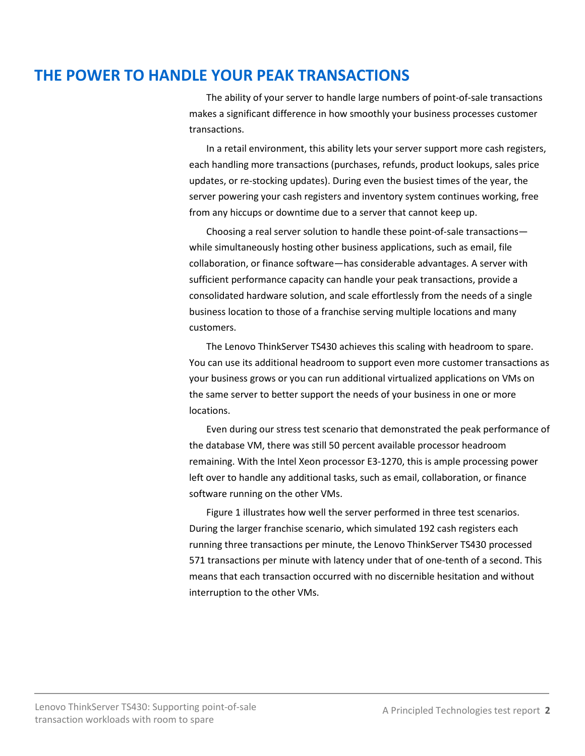## **THE POWER TO HANDLE YOUR PEAK TRANSACTIONS**

The ability of your server to handle large numbers of point-of-sale transactions makes a significant difference in how smoothly your business processes customer transactions.

In a retail environment, this ability lets your server support more cash registers, each handling more transactions (purchases, refunds, product lookups, sales price updates, or re-stocking updates). During even the busiest times of the year, the server powering your cash registers and inventory system continues working, free from any hiccups or downtime due to a server that cannot keep up.

Choosing a real server solution to handle these point-of-sale transactions while simultaneously hosting other business applications, such as email, file collaboration, or finance software—has considerable advantages. A server with sufficient performance capacity can handle your peak transactions, provide a consolidated hardware solution, and scale effortlessly from the needs of a single business location to those of a franchise serving multiple locations and many customers.

The Lenovo ThinkServer TS430 achieves this scaling with headroom to spare. You can use its additional headroom to support even more customer transactions as your business grows or you can run additional virtualized applications on VMs on the same server to better support the needs of your business in one or more locations.

Even during our stress test scenario that demonstrated the peak performance of the database VM, there was still 50 percent available processor headroom remaining. With the Intel Xeon processor E3-1270, this is ample processing power left over to handle any additional tasks, such as email, collaboration, or finance software running on the other VMs.

Figure 1 illustrates how well the server performed in three test scenarios. During the larger franchise scenario, which simulated 192 cash registers each running three transactions per minute, the Lenovo ThinkServer TS430 processed 571 transactions per minute with latency under that of one-tenth of a second. This means that each transaction occurred with no discernible hesitation and without interruption to the other VMs.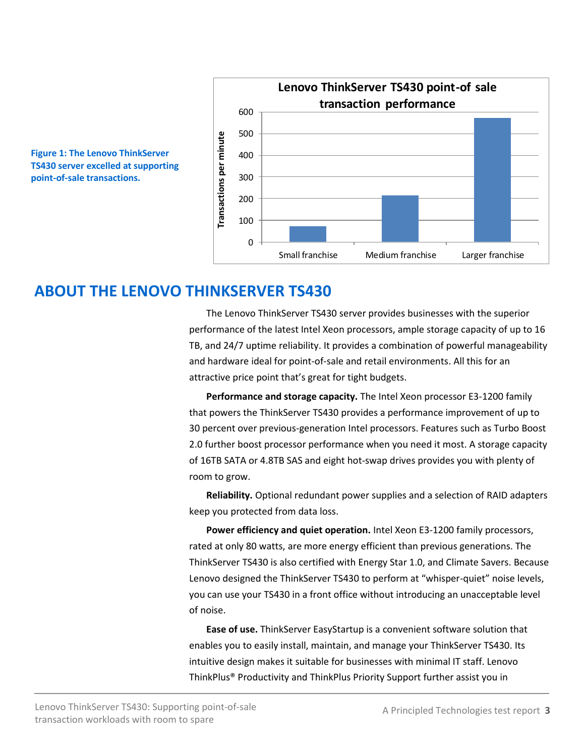



## **ABOUT THE LENOVO THINKSERVER TS430**

The Lenovo ThinkServer TS430 server provides businesses with the superior performance of the latest Intel Xeon processors, ample storage capacity of up to 16 TB, and 24/7 uptime reliability. It provides a combination of powerful manageability and hardware ideal for point-of-sale and retail environments. All this for an attractive price point that's great for tight budgets.

**Performance and storage capacity.** The Intel Xeon processor E3-1200 family that powers the ThinkServer TS430 provides a performance improvement of up to 30 percent over previous-generation Intel processors. Features such as Turbo Boost 2.0 further boost processor performance when you need it most. A storage capacity of 16TB SATA or 4.8TB SAS and eight hot-swap drives provides you with plenty of room to grow.

**Reliability.** Optional redundant power supplies and a selection of RAID adapters keep you protected from data loss.

**Power efficiency and quiet operation.** Intel Xeon E3-1200 family processors, rated at only 80 watts, are more energy efficient than previous generations. The ThinkServer TS430 is also certified with Energy Star 1.0, and Climate Savers. Because Lenovo designed the ThinkServer TS430 to perform at "whisper-quiet" noise levels, you can use your TS430 in a front office without introducing an unacceptable level of noise.

**Ease of use.** ThinkServer EasyStartup is a convenient software solution that enables you to easily install, maintain, and manage your ThinkServer TS430. Its intuitive design makes it suitable for businesses with minimal IT staff. Lenovo ThinkPlus® Productivity and ThinkPlus Priority Support further assist you in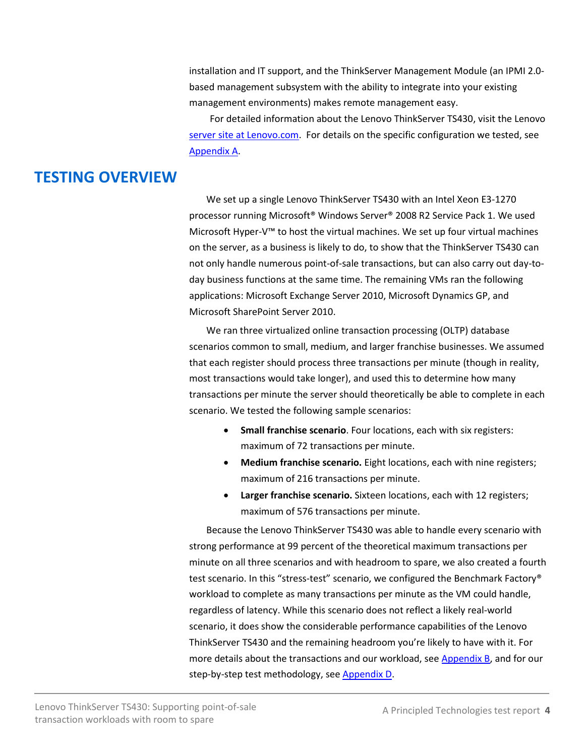installation and IT support, and the ThinkServer Management Module (an IPMI 2.0 based management subsystem with the ability to integrate into your existing management environments) makes remote management easy.

For detailed information about the Lenovo ThinkServer TS430, visit the Lenovo [server site at Lenovo.com.](http://shop.lenovo.com/SEUILibrary/controller/e/web/LenovoPortal/en_US/special-offers.workflow:ShowPromo?LandingPage=/All/US/Landing_pages/ThinkServer/Products) For details on the specific configuration we tested, see [Appendix A.](#page-6-0)

## **TESTING OVERVIEW**

We set up a single Lenovo ThinkServer TS430 with an Intel Xeon E3-1270 processor running Microsoft® Windows Server® 2008 R2 Service Pack 1. We used Microsoft Hyper-V™ to host the virtual machines. We set up four virtual machines on the server, as a business is likely to do, to show that the ThinkServer TS430 can not only handle numerous point-of-sale transactions, but can also carry out day-today business functions at the same time. The remaining VMs ran the following applications: Microsoft Exchange Server 2010, Microsoft Dynamics GP, and Microsoft SharePoint Server 2010.

We ran three virtualized online transaction processing (OLTP) database scenarios common to small, medium, and larger franchise businesses. We assumed that each register should process three transactions per minute (though in reality, most transactions would take longer), and used this to determine how many transactions per minute the server should theoretically be able to complete in each scenario. We tested the following sample scenarios:

- **Small franchise scenario**. Four locations, each with six registers: maximum of 72 transactions per minute.
- **Medium franchise scenario.** Eight locations, each with nine registers; maximum of 216 transactions per minute.
- **Larger franchise scenario.** Sixteen locations, each with 12 registers; maximum of 576 transactions per minute.

Because the Lenovo ThinkServer TS430 was able to handle every scenario with strong performance at 99 percent of the theoretical maximum transactions per minute on all three scenarios and with headroom to spare, we also created a fourth test scenario. In this "stress-test" scenario, we configured the Benchmark Factory® workload to complete as many transactions per minute as the VM could handle, regardless of latency. While this scenario does not reflect a likely real-world scenario, it does show the considerable performance capabilities of the Lenovo ThinkServer TS430 and the remaining headroom you're likely to have with it. For more details about the transactions and our workload, see **Appendix B**, and for our step-by-step test methodology, see [Appendix D.](#page-11-0)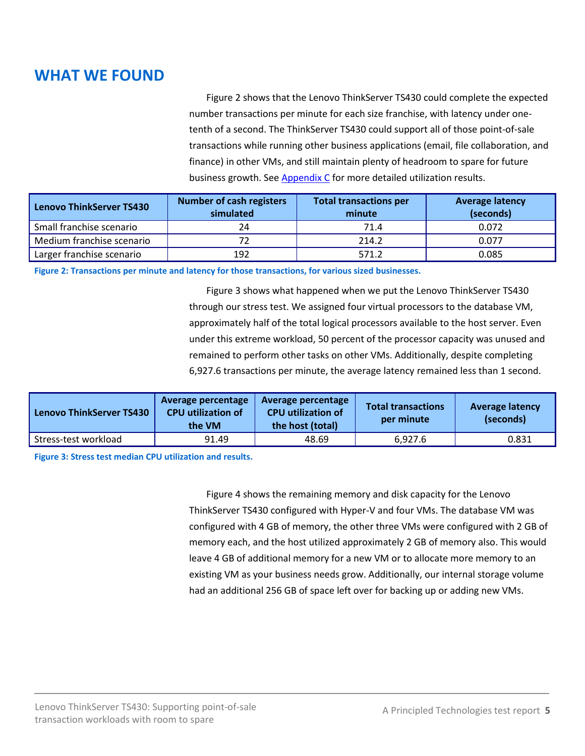# **WHAT WE FOUND**

Figure 2 shows that the Lenovo ThinkServer TS430 could complete the expected number transactions per minute for each size franchise, with latency under onetenth of a second. The ThinkServer TS430 could support all of those point-of-sale transactions while running other business applications (email, file collaboration, and finance) in other VMs, and still maintain plenty of headroom to spare for future business growth. See **Appendix C** for more detailed utilization results.

| <b>Lenovo ThinkServer TS430</b> | <b>Number of cash registers</b><br>simulated | <b>Total transactions per</b><br>minute | <b>Average latency</b><br>(seconds) |  |
|---------------------------------|----------------------------------------------|-----------------------------------------|-------------------------------------|--|
| Small franchise scenario        | 24                                           | 71.4                                    | 0.072                               |  |
| Medium franchise scenario       | 72                                           | 214.2                                   | 0.077                               |  |
| Larger franchise scenario       | 192                                          | 571.2                                   | 0.085                               |  |

**Figure 2: Transactions per minute and latency for those transactions, for various sized businesses.**

Figure 3 shows what happened when we put the Lenovo ThinkServer TS430 through our stress test. We assigned four virtual processors to the database VM, approximately half of the total logical processors available to the host server. Even under this extreme workload, 50 percent of the processor capacity was unused and remained to perform other tasks on other VMs. Additionally, despite completing 6,927.6 transactions per minute, the average latency remained less than 1 second.

| <b>Lenovo ThinkServer TS430</b> | Average percentage<br><b>CPU</b> utilization of<br>the VM | Average percentage<br><b>CPU utilization of</b><br>the host (total) | <b>Total transactions</b><br>per minute | <b>Average latency</b><br>(seconds) |
|---------------------------------|-----------------------------------------------------------|---------------------------------------------------------------------|-----------------------------------------|-------------------------------------|
| Stress-test workload            | 91.49                                                     | 48.69                                                               | 6.927.6                                 | 0.831                               |

**Figure 3: Stress test median CPU utilization and results.**

Figure 4 shows the remaining memory and disk capacity for the Lenovo ThinkServer TS430 configured with Hyper-V and four VMs. The database VM was configured with 4 GB of memory, the other three VMs were configured with 2 GB of memory each, and the host utilized approximately 2 GB of memory also. This would leave 4 GB of additional memory for a new VM or to allocate more memory to an existing VM as your business needs grow. Additionally, our internal storage volume had an additional 256 GB of space left over for backing up or adding new VMs.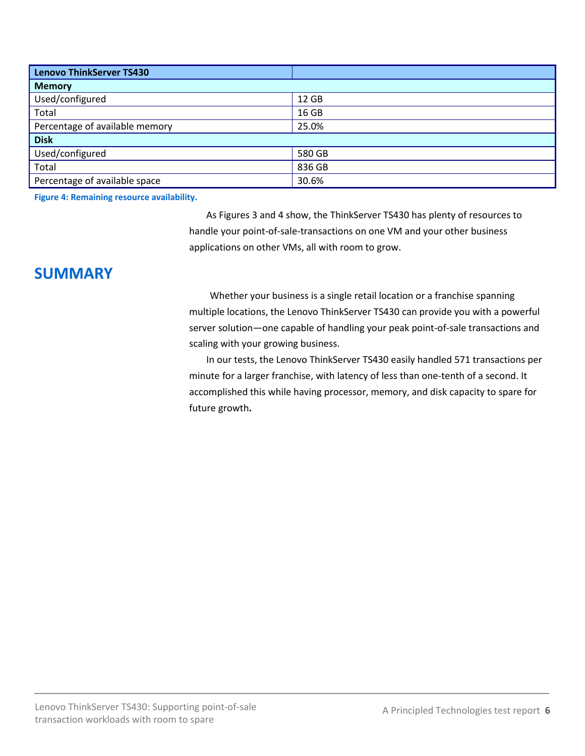| Lenovo ThinkServer TS430       |        |  |  |  |
|--------------------------------|--------|--|--|--|
| <b>Memory</b>                  |        |  |  |  |
| Used/configured                | 12 GB  |  |  |  |
| Total                          | 16 GB  |  |  |  |
| Percentage of available memory | 25.0%  |  |  |  |
| <b>Disk</b>                    |        |  |  |  |
| Used/configured                | 580 GB |  |  |  |
| Total                          | 836 GB |  |  |  |
| Percentage of available space  | 30.6%  |  |  |  |

**Figure 4: Remaining resource availability.** 

As Figures 3 and 4 show, the ThinkServer TS430 has plenty of resources to handle your point-of-sale-transactions on one VM and your other business applications on other VMs, all with room to grow.

## **SUMMARY**

Whether your business is a single retail location or a franchise spanning multiple locations, the Lenovo ThinkServer TS430 can provide you with a powerful server solution—one capable of handling your peak point-of-sale transactions and scaling with your growing business.

In our tests, the Lenovo ThinkServer TS430 easily handled 571 transactions per minute for a larger franchise, with latency of less than one-tenth of a second. It accomplished this while having processor, memory, and disk capacity to spare for future growth**.**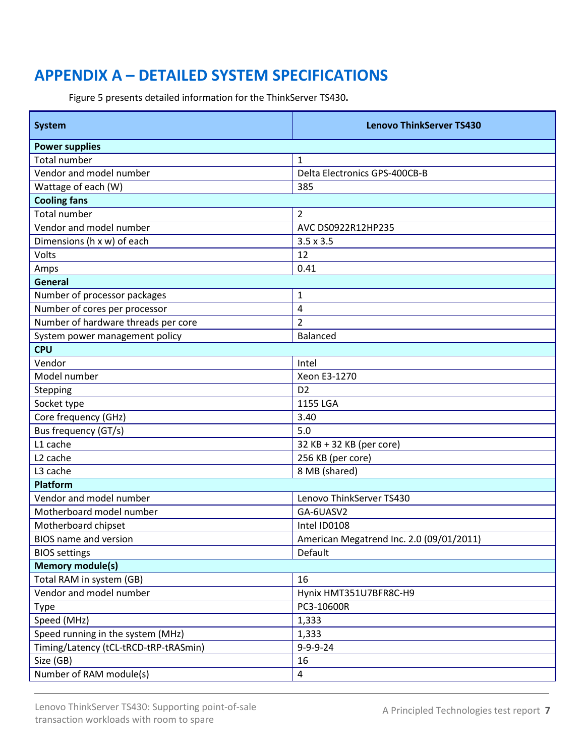# <span id="page-6-0"></span>**APPENDIX A – DETAILED SYSTEM SPECIFICATIONS**

Figure 5 presents detailed information for the ThinkServer TS430**.**

| <b>System</b>                         | <b>Lenovo ThinkServer TS430</b>          |  |  |  |
|---------------------------------------|------------------------------------------|--|--|--|
| <b>Power supplies</b>                 |                                          |  |  |  |
| <b>Total number</b>                   | $\mathbf{1}$                             |  |  |  |
| Vendor and model number               | Delta Electronics GPS-400CB-B            |  |  |  |
| Wattage of each (W)                   | 385                                      |  |  |  |
| <b>Cooling fans</b>                   |                                          |  |  |  |
| <b>Total number</b>                   | $\overline{2}$                           |  |  |  |
| Vendor and model number               | AVC DS0922R12HP235                       |  |  |  |
| Dimensions (h x w) of each            | $3.5 \times 3.5$                         |  |  |  |
| Volts                                 | 12                                       |  |  |  |
| Amps                                  | 0.41                                     |  |  |  |
| General                               |                                          |  |  |  |
| Number of processor packages          | 1                                        |  |  |  |
| Number of cores per processor         | 4                                        |  |  |  |
| Number of hardware threads per core   | $\overline{2}$                           |  |  |  |
| System power management policy        | Balanced                                 |  |  |  |
| <b>CPU</b>                            |                                          |  |  |  |
| Vendor                                | Intel                                    |  |  |  |
| Model number                          | Xeon E3-1270                             |  |  |  |
| Stepping                              | D <sub>2</sub>                           |  |  |  |
| Socket type                           | 1155 LGA                                 |  |  |  |
| Core frequency (GHz)                  | 3.40                                     |  |  |  |
| Bus frequency (GT/s)                  | 5.0                                      |  |  |  |
| L1 cache                              | 32 KB + 32 KB (per core)                 |  |  |  |
| L <sub>2</sub> cache                  | 256 KB (per core)                        |  |  |  |
| L3 cache                              | 8 MB (shared)                            |  |  |  |
| <b>Platform</b>                       |                                          |  |  |  |
| Vendor and model number               | Lenovo ThinkServer TS430                 |  |  |  |
| Motherboard model number              | GA-6UASV2                                |  |  |  |
| Motherboard chipset                   | Intel ID0108                             |  |  |  |
| BIOS name and version                 | American Megatrend Inc. 2.0 (09/01/2011) |  |  |  |
| <b>BIOS</b> settings                  | Default                                  |  |  |  |
| <b>Memory module(s)</b>               |                                          |  |  |  |
| Total RAM in system (GB)              | 16                                       |  |  |  |
| Vendor and model number               | Hynix HMT351U7BFR8C-H9                   |  |  |  |
| Type                                  | PC3-10600R                               |  |  |  |
| Speed (MHz)                           | 1,333                                    |  |  |  |
| Speed running in the system (MHz)     | 1,333                                    |  |  |  |
| Timing/Latency (tCL-tRCD-tRP-tRASmin) | 9-9-9-24                                 |  |  |  |
| Size (GB)                             | 16                                       |  |  |  |
| Number of RAM module(s)               | $\overline{4}$                           |  |  |  |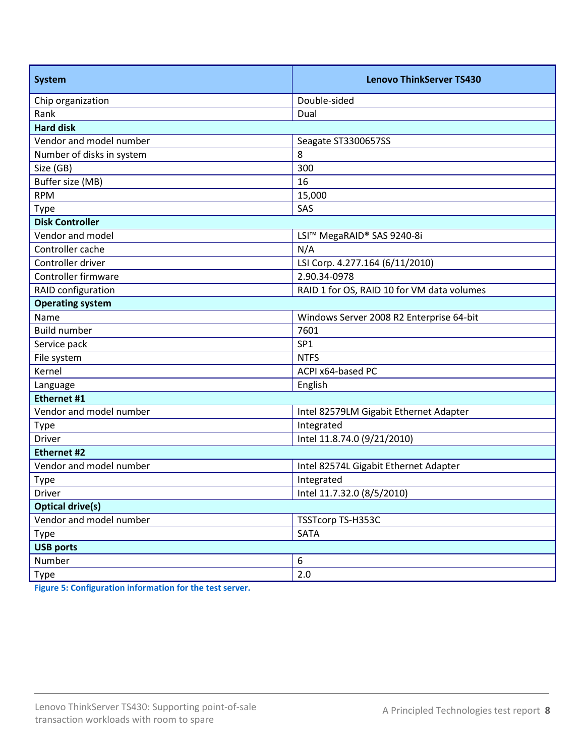| <b>System</b>             | <b>Lenovo ThinkServer TS430</b>            |  |  |  |
|---------------------------|--------------------------------------------|--|--|--|
| Chip organization         | Double-sided                               |  |  |  |
| Rank                      | Dual                                       |  |  |  |
| <b>Hard disk</b>          |                                            |  |  |  |
| Vendor and model number   | Seagate ST3300657SS                        |  |  |  |
| Number of disks in system | 8                                          |  |  |  |
| Size (GB)                 | 300                                        |  |  |  |
| Buffer size (MB)          | 16                                         |  |  |  |
| <b>RPM</b>                | 15,000                                     |  |  |  |
| <b>Type</b>               | SAS                                        |  |  |  |
| <b>Disk Controller</b>    |                                            |  |  |  |
| Vendor and model          | LSI™ MegaRAID® SAS 9240-8i                 |  |  |  |
| Controller cache          | N/A                                        |  |  |  |
| Controller driver         | LSI Corp. 4.277.164 (6/11/2010)            |  |  |  |
| Controller firmware       | 2.90.34-0978                               |  |  |  |
| RAID configuration        | RAID 1 for OS, RAID 10 for VM data volumes |  |  |  |
| <b>Operating system</b>   |                                            |  |  |  |
| Name                      | Windows Server 2008 R2 Enterprise 64-bit   |  |  |  |
| <b>Build number</b>       | 7601                                       |  |  |  |
| Service pack              | SP <sub>1</sub>                            |  |  |  |
| File system               | <b>NTFS</b>                                |  |  |  |
| Kernel                    | ACPI x64-based PC                          |  |  |  |
| Language                  | English                                    |  |  |  |
| Ethernet #1               |                                            |  |  |  |
| Vendor and model number   | Intel 82579LM Gigabit Ethernet Adapter     |  |  |  |
| <b>Type</b>               | Integrated                                 |  |  |  |
| <b>Driver</b>             | Intel 11.8.74.0 (9/21/2010)                |  |  |  |
| <b>Ethernet #2</b>        |                                            |  |  |  |
| Vendor and model number   | Intel 82574L Gigabit Ethernet Adapter      |  |  |  |
| <b>Type</b>               | Integrated                                 |  |  |  |
| Driver                    | Intel 11.7.32.0 (8/5/2010)                 |  |  |  |
| <b>Optical drive(s)</b>   |                                            |  |  |  |
| Vendor and model number   | TSSTcorp TS-H353C                          |  |  |  |
| Type                      | <b>SATA</b>                                |  |  |  |
| <b>USB ports</b>          |                                            |  |  |  |
| Number                    | 6                                          |  |  |  |
| Type                      | 2.0                                        |  |  |  |

**Figure 5: Configuration information for the test server.**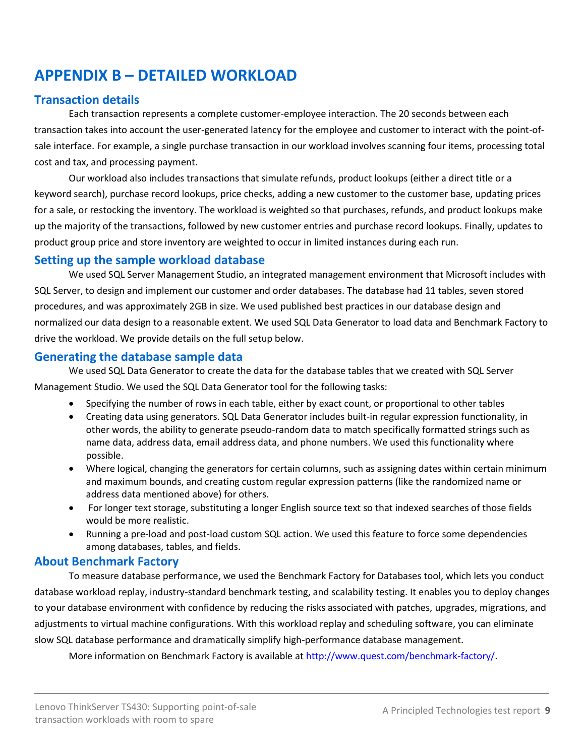# <span id="page-8-0"></span>**APPENDIX B – DETAILED WORKLOAD**

## **Transaction details**

Each transaction represents a complete customer-employee interaction. The 20 seconds between each transaction takes into account the user-generated latency for the employee and customer to interact with the point-ofsale interface. For example, a single purchase transaction in our workload involves scanning four items, processing total cost and tax, and processing payment.

Our workload also includes transactions that simulate refunds, product lookups (either a direct title or a keyword search), purchase record lookups, price checks, adding a new customer to the customer base, updating prices for a sale, or restocking the inventory. The workload is weighted so that purchases, refunds, and product lookups make up the majority of the transactions, followed by new customer entries and purchase record lookups. Finally, updates to product group price and store inventory are weighted to occur in limited instances during each run.

### **Setting up the sample workload database**

We used SQL Server Management Studio, an integrated management environment that Microsoft includes with SQL Server, to design and implement our customer and order databases. The database had 11 tables, seven stored procedures, and was approximately 2GB in size. We used published best practices in our database design and normalized our data design to a reasonable extent. We used SQL Data Generator to load data and Benchmark Factory to drive the workload. We provide details on the full setup below.

## **Generating the database sample data**

We used SQL Data Generator to create the data for the database tables that we created with SQL Server Management Studio. We used the SQL Data Generator tool for the following tasks:

- Specifying the number of rows in each table, either by exact count, or proportional to other tables
- Creating data using generators. SQL Data Generator includes built-in regular expression functionality, in other words, the ability to generate pseudo-random data to match specifically formatted strings such as name data, address data, email address data, and phone numbers. We used this functionality where possible.
- Where logical, changing the generators for certain columns, such as assigning dates within certain minimum and maximum bounds, and creating custom regular expression patterns (like the randomized name or address data mentioned above) for others.
- For longer text storage, substituting a longer English source text so that indexed searches of those fields would be more realistic.
- Running a pre-load and post-load custom SQL action. We used this feature to force some dependencies among databases, tables, and fields.

## **About Benchmark Factory**

To measure database performance, we used the Benchmark Factory for Databases tool, which lets you conduct database workload replay, industry-standard benchmark testing, and scalability testing. It enables you to deploy changes to your database environment with confidence by reducing the risks associated with patches, upgrades, migrations, and adjustments to virtual machine configurations. With this workload replay and scheduling software, you can eliminate slow SQL database performance and dramatically simplify high-performance database management.

More information on Benchmark Factory is available at [http://www.quest.com/benchmark-factory/.](http://www.quest.com/benchmark-factory/)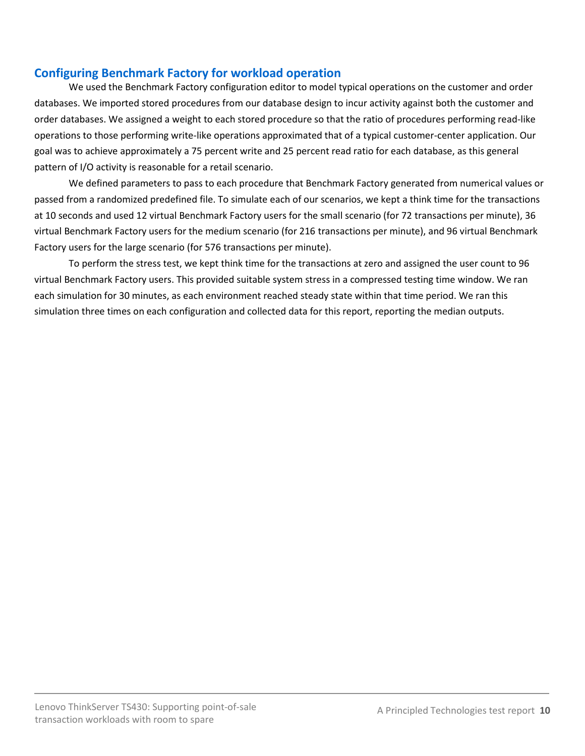## **Configuring Benchmark Factory for workload operation**

We used the Benchmark Factory configuration editor to model typical operations on the customer and order databases. We imported stored procedures from our database design to incur activity against both the customer and order databases. We assigned a weight to each stored procedure so that the ratio of procedures performing read-like operations to those performing write-like operations approximated that of a typical customer-center application. Our goal was to achieve approximately a 75 percent write and 25 percent read ratio for each database, as this general pattern of I/O activity is reasonable for a retail scenario.

We defined parameters to pass to each procedure that Benchmark Factory generated from numerical values or passed from a randomized predefined file. To simulate each of our scenarios, we kept a think time for the transactions at 10 seconds and used 12 virtual Benchmark Factory users for the small scenario (for 72 transactions per minute), 36 virtual Benchmark Factory users for the medium scenario (for 216 transactions per minute), and 96 virtual Benchmark Factory users for the large scenario (for 576 transactions per minute).

To perform the stress test, we kept think time for the transactions at zero and assigned the user count to 96 virtual Benchmark Factory users. This provided suitable system stress in a compressed testing time window. We ran each simulation for 30 minutes, as each environment reached steady state within that time period. We ran this simulation three times on each configuration and collected data for this report, reporting the median outputs.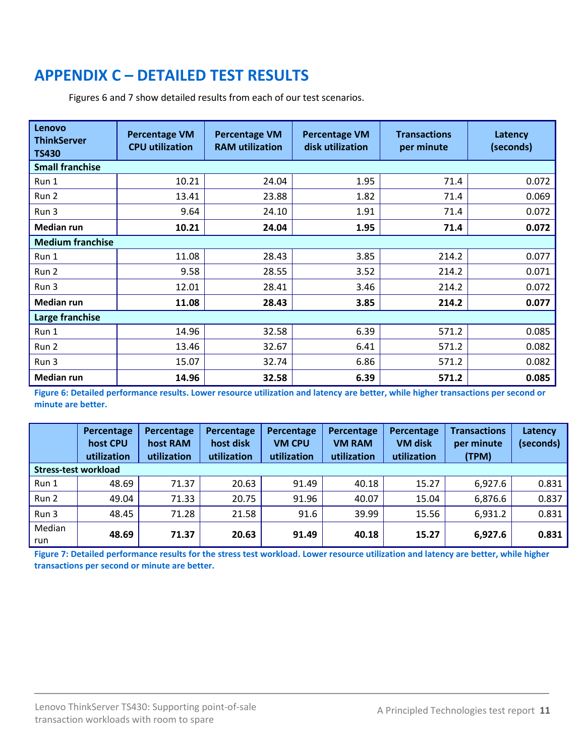# <span id="page-10-0"></span>**APPENDIX C – DETAILED TEST RESULTS**

Figures 6 and 7 show detailed results from each of our test scenarios.

| Lenovo<br><b>ThinkServer</b><br><b>TS430</b> | <b>Percentage VM</b><br><b>CPU utilization</b> | <b>Percentage VM</b><br><b>RAM</b> utilization | <b>Percentage VM</b><br>disk utilization | <b>Transactions</b><br>per minute | Latency<br>(seconds) |  |  |  |
|----------------------------------------------|------------------------------------------------|------------------------------------------------|------------------------------------------|-----------------------------------|----------------------|--|--|--|
| <b>Small franchise</b>                       |                                                |                                                |                                          |                                   |                      |  |  |  |
| Run 1                                        | 10.21                                          | 24.04                                          | 1.95                                     | 71.4                              | 0.072                |  |  |  |
| Run 2                                        | 13.41                                          | 23.88                                          | 1.82                                     | 71.4                              | 0.069                |  |  |  |
| Run 3                                        | 9.64                                           | 24.10                                          | 1.91                                     | 71.4                              | 0.072                |  |  |  |
| <b>Median run</b>                            | 10.21                                          | 24.04                                          | 1.95                                     | 71.4                              | 0.072                |  |  |  |
| <b>Medium franchise</b>                      |                                                |                                                |                                          |                                   |                      |  |  |  |
| Run 1                                        | 11.08                                          | 28.43                                          | 3.85                                     | 214.2                             | 0.077                |  |  |  |
| Run 2                                        | 9.58                                           | 28.55                                          | 3.52                                     | 214.2                             | 0.071                |  |  |  |
| Run 3                                        | 12.01                                          | 28.41                                          | 3.46                                     | 214.2                             | 0.072                |  |  |  |
| Median run                                   | 11.08                                          | 28.43                                          | 3.85                                     | 214.2                             | 0.077                |  |  |  |
| Large franchise                              |                                                |                                                |                                          |                                   |                      |  |  |  |
| Run 1                                        | 14.96                                          | 32.58                                          | 6.39                                     | 571.2                             | 0.085                |  |  |  |
| Run 2                                        | 13.46                                          | 32.67                                          | 6.41                                     | 571.2                             | 0.082                |  |  |  |
| Run 3                                        | 15.07                                          | 32.74                                          | 6.86                                     | 571.2                             | 0.082                |  |  |  |
| Median run                                   | 14.96                                          | 32.58                                          | 6.39                                     | 571.2                             | 0.085                |  |  |  |

**Figure 6: Detailed performance results. Lower resource utilization and latency are better, while higher transactions per second or minute are better.**

|                      | Percentage<br>host CPU<br>utilization | Percentage<br>host RAM<br>utilization | Percentage<br>host disk<br>utilization | Percentage<br><b>VM CPU</b><br>utilization | Percentage<br><b>VM RAM</b><br>utilization | Percentage<br><b>VM disk</b><br>utilization | <b>Transactions</b><br>per minute<br>(TPM) | Latency<br>(seconds) |
|----------------------|---------------------------------------|---------------------------------------|----------------------------------------|--------------------------------------------|--------------------------------------------|---------------------------------------------|--------------------------------------------|----------------------|
| Stress-test workload |                                       |                                       |                                        |                                            |                                            |                                             |                                            |                      |
| Run 1                | 48.69                                 | 71.37                                 | 20.63                                  | 91.49                                      | 40.18                                      | 15.27                                       | 6,927.6                                    | 0.831                |
| Run 2                | 49.04                                 | 71.33                                 | 20.75                                  | 91.96                                      | 40.07                                      | 15.04                                       | 6,876.6                                    | 0.837                |
| Run 3                | 48.45                                 | 71.28                                 | 21.58                                  | 91.6                                       | 39.99                                      | 15.56                                       | 6,931.2                                    | 0.831                |
| Median<br>run        | 48.69                                 | 71.37                                 | 20.63                                  | 91.49                                      | 40.18                                      | 15.27                                       | 6,927.6                                    | 0.831                |

**Figure 7: Detailed performance results for the stress test workload. Lower resource utilization and latency are better, while higher transactions per second or minute are better.**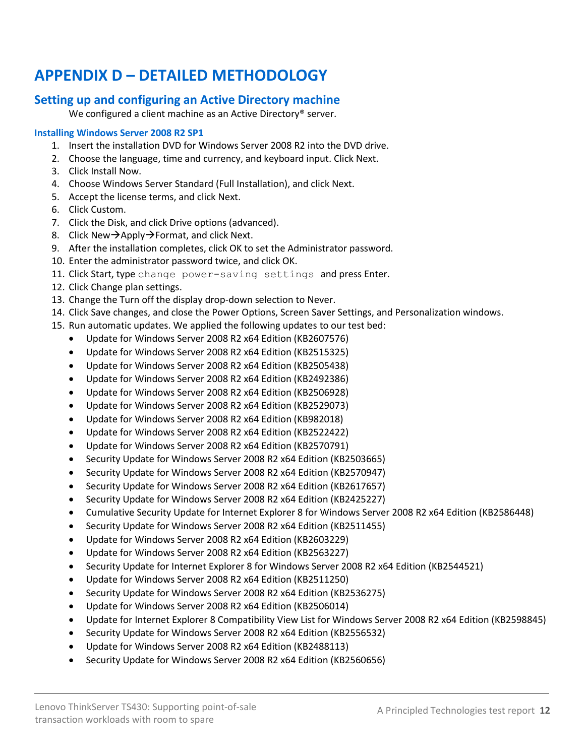# <span id="page-11-0"></span>**APPENDIX D – DETAILED METHODOLOGY**

## **Setting up and configuring an Active Directory machine**

We configured a client machine as an Active Directory<sup>®</sup> server.

#### **Installing Windows Server 2008 R2 SP1**

- 1. Insert the installation DVD for Windows Server 2008 R2 into the DVD drive.
- 2. Choose the language, time and currency, and keyboard input. Click Next.
- 3. Click Install Now.
- 4. Choose Windows Server Standard (Full Installation), and click Next.
- 5. Accept the license terms, and click Next.
- 6. Click Custom.
- 7. Click the Disk, and click Drive options (advanced).
- 8. Click New $\rightarrow$ Apply $\rightarrow$ Format, and click Next.
- 9. After the installation completes, click OK to set the Administrator password.
- 10. Enter the administrator password twice, and click OK.
- 11. Click Start, type change power-saving settings and press Enter.
- 12. Click Change plan settings.
- 13. Change the Turn off the display drop-down selection to Never.
- 14. Click Save changes, and close the Power Options, Screen Saver Settings, and Personalization windows.
- 15. Run automatic updates. We applied the following updates to our test bed:
	- Update for Windows Server 2008 R2 x64 Edition (KB2607576)
	- Update for Windows Server 2008 R2 x64 Edition (KB2515325)
	- Update for Windows Server 2008 R2 x64 Edition (KB2505438)
	- Update for Windows Server 2008 R2 x64 Edition (KB2492386)
	- Update for Windows Server 2008 R2 x64 Edition (KB2506928)
	- Update for Windows Server 2008 R2 x64 Edition (KB2529073)
	- Update for Windows Server 2008 R2 x64 Edition (KB982018)
	- Update for Windows Server 2008 R2 x64 Edition (KB2522422)
	- Update for Windows Server 2008 R2 x64 Edition (KB2570791)
	- Security Update for Windows Server 2008 R2 x64 Edition (KB2503665)
	- Security Update for Windows Server 2008 R2 x64 Edition (KB2570947)
	- Security Update for Windows Server 2008 R2 x64 Edition (KB2617657)
	- Security Update for Windows Server 2008 R2 x64 Edition (KB2425227)
	- Cumulative Security Update for Internet Explorer 8 for Windows Server 2008 R2 x64 Edition (KB2586448)
	- Security Update for Windows Server 2008 R2 x64 Edition (KB2511455)
	- Update for Windows Server 2008 R2 x64 Edition (KB2603229)
	- Update for Windows Server 2008 R2 x64 Edition (KB2563227)
	- Security Update for Internet Explorer 8 for Windows Server 2008 R2 x64 Edition (KB2544521)
	- Update for Windows Server 2008 R2 x64 Edition (KB2511250)
	- Security Update for Windows Server 2008 R2 x64 Edition (KB2536275)
	- Update for Windows Server 2008 R2 x64 Edition (KB2506014)
	- Update for Internet Explorer 8 Compatibility View List for Windows Server 2008 R2 x64 Edition (KB2598845)
	- Security Update for Windows Server 2008 R2 x64 Edition (KB2556532)
	- Update for Windows Server 2008 R2 x64 Edition (KB2488113)
	- Security Update for Windows Server 2008 R2 x64 Edition (KB2560656)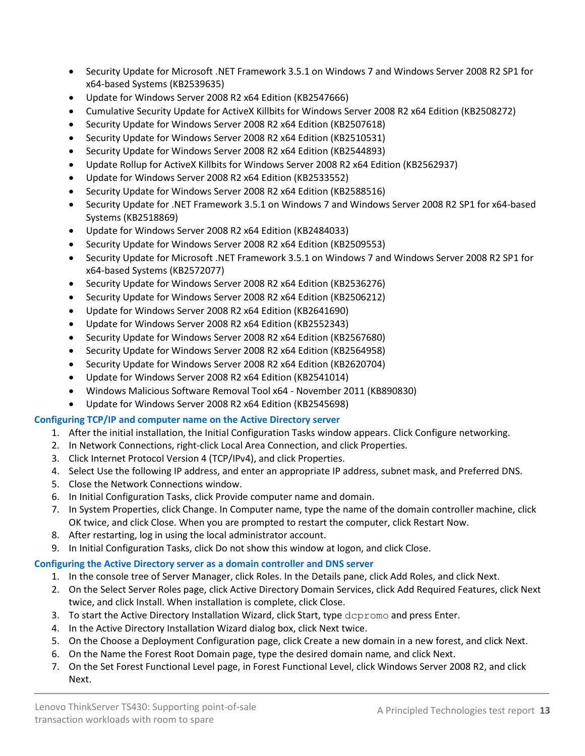- Security Update for Microsoft .NET Framework 3.5.1 on Windows 7 and Windows Server 2008 R2 SP1 for x64-based Systems (KB2539635)
- Update for Windows Server 2008 R2 x64 Edition (KB2547666)
- Cumulative Security Update for ActiveX Killbits for Windows Server 2008 R2 x64 Edition (KB2508272)
- Security Update for Windows Server 2008 R2 x64 Edition (KB2507618)
- Security Update for Windows Server 2008 R2 x64 Edition (KB2510531)
- Security Update for Windows Server 2008 R2 x64 Edition (KB2544893)
- Update Rollup for ActiveX Killbits for Windows Server 2008 R2 x64 Edition (KB2562937)
- Update for Windows Server 2008 R2 x64 Edition (KB2533552)
- Security Update for Windows Server 2008 R2 x64 Edition (KB2588516)
- Security Update for .NET Framework 3.5.1 on Windows 7 and Windows Server 2008 R2 SP1 for x64-based Systems (KB2518869)
- Update for Windows Server 2008 R2 x64 Edition (KB2484033)
- Security Update for Windows Server 2008 R2 x64 Edition (KB2509553)
- Security Update for Microsoft .NET Framework 3.5.1 on Windows 7 and Windows Server 2008 R2 SP1 for x64-based Systems (KB2572077)
- Security Update for Windows Server 2008 R2 x64 Edition (KB2536276)
- Security Update for Windows Server 2008 R2 x64 Edition (KB2506212)
- Update for Windows Server 2008 R2 x64 Edition (KB2641690)
- Update for Windows Server 2008 R2 x64 Edition (KB2552343)
- Security Update for Windows Server 2008 R2 x64 Edition (KB2567680)
- Security Update for Windows Server 2008 R2 x64 Edition (KB2564958)
- Security Update for Windows Server 2008 R2 x64 Edition (KB2620704)
- Update for Windows Server 2008 R2 x64 Edition (KB2541014)
- Windows Malicious Software Removal Tool x64 November 2011 (KB890830)
- Update for Windows Server 2008 R2 x64 Edition (KB2545698)

### **Configuring TCP/IP and computer name on the Active Directory server**

- 1. After the initial installation, the Initial Configuration Tasks window appears. Click Configure networking.
- 2. In Network Connections, right-click Local Area Connection, and click Properties.
- 3. Click Internet Protocol Version 4 (TCP/IPv4), and click Properties.
- 4. Select Use the following IP address, and enter an appropriate IP address, subnet mask, and Preferred DNS.
- 5. Close the Network Connections window.
- 6. In Initial Configuration Tasks, click Provide computer name and domain.
- 7. In System Properties, click Change. In Computer name, type the name of the domain controller machine, click OK twice, and click Close. When you are prompted to restart the computer, click Restart Now.
- 8. After restarting, log in using the local administrator account.
- 9. In Initial Configuration Tasks, click Do not show this window at logon, and click Close.

## **Configuring the Active Directory server as a domain controller and DNS server**

- 1. In the console tree of Server Manager, click Roles. In the Details pane, click Add Roles, and click Next.
- 2. On the Select Server Roles page, click Active Directory Domain Services, click Add Required Features, click Next twice, and click Install. When installation is complete, click Close.
- 3. To start the Active Directory Installation Wizard, click Start, type dcpromo and press Enter.
- 4. In the Active Directory Installation Wizard dialog box, click Next twice.
- 5. On the Choose a Deployment Configuration page, click Create a new domain in a new forest, and click Next.
- 6. On the Name the Forest Root Domain page, type the desired domain name, and click Next.
- 7. On the Set Forest Functional Level page, in Forest Functional Level, click Windows Server 2008 R2, and click Next.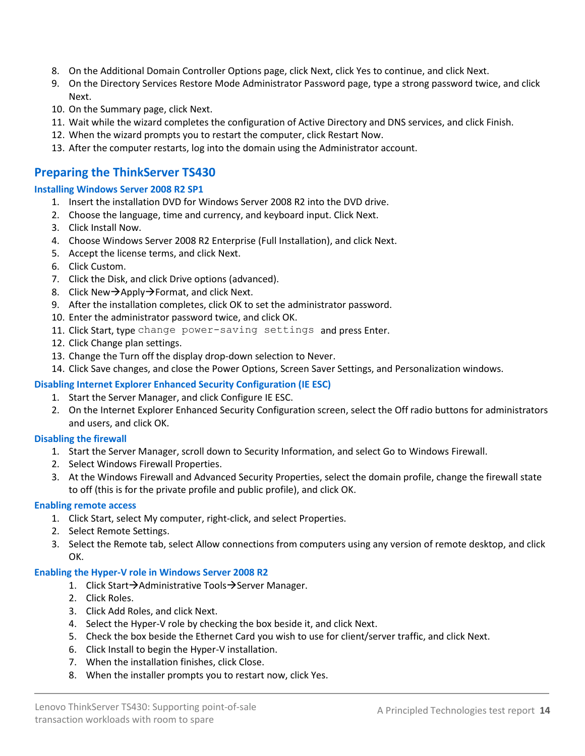- 8. On the Additional Domain Controller Options page, click Next, click Yes to continue, and click Next.
- 9. On the Directory Services Restore Mode Administrator Password page, type a strong password twice, and click Next.
- 10. On the Summary page, click Next.
- 11. Wait while the wizard completes the configuration of Active Directory and DNS services, and click Finish.
- 12. When the wizard prompts you to restart the computer, click Restart Now.
- 13. After the computer restarts, log into the domain using the Administrator account.

### **Preparing the ThinkServer TS430**

#### **Installing Windows Server 2008 R2 SP1**

- 1. Insert the installation DVD for Windows Server 2008 R2 into the DVD drive.
- 2. Choose the language, time and currency, and keyboard input. Click Next.
- 3. Click Install Now.
- 4. Choose Windows Server 2008 R2 Enterprise (Full Installation), and click Next.
- 5. Accept the license terms, and click Next.
- 6. Click Custom.
- 7. Click the Disk, and click Drive options (advanced).
- 8. Click New $\rightarrow$ Apply $\rightarrow$ Format, and click Next.
- 9. After the installation completes, click OK to set the administrator password.
- 10. Enter the administrator password twice, and click OK.
- 11. Click Start, type change power-saving settings and press Enter.
- 12. Click Change plan settings.
- 13. Change the Turn off the display drop-down selection to Never.
- 14. Click Save changes, and close the Power Options, Screen Saver Settings, and Personalization windows.

#### **Disabling Internet Explorer Enhanced Security Configuration (IE ESC)**

- 1. Start the Server Manager, and click Configure IE ESC.
- 2. On the Internet Explorer Enhanced Security Configuration screen, select the Off radio buttons for administrators and users, and click OK.

#### **Disabling the firewall**

- 1. Start the Server Manager, scroll down to Security Information, and select Go to Windows Firewall.
- 2. Select Windows Firewall Properties.
- 3. At the Windows Firewall and Advanced Security Properties, select the domain profile, change the firewall state to off (this is for the private profile and public profile), and click OK.

#### **Enabling remote access**

- 1. Click Start, select My computer, right-click, and select Properties.
- 2. Select Remote Settings.
- 3. Select the Remote tab, select Allow connections from computers using any version of remote desktop, and click OK.

#### **Enabling the Hyper-V role in Windows Server 2008 R2**

- 1. Click Start $\rightarrow$ Administrative Tools $\rightarrow$ Server Manager.
- 2. Click Roles.
- 3. Click Add Roles, and click Next.
- 4. Select the Hyper-V role by checking the box beside it, and click Next.
- 5. Check the box beside the Ethernet Card you wish to use for client/server traffic, and click Next.
- 6. Click Install to begin the Hyper-V installation.
- 7. When the installation finishes, click Close.
- 8. When the installer prompts you to restart now, click Yes.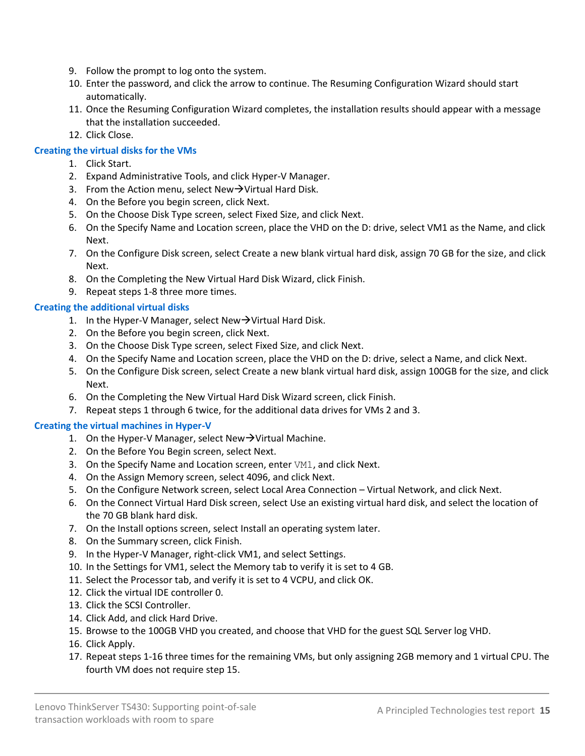- 9. Follow the prompt to log onto the system.
- 10. Enter the password, and click the arrow to continue. The Resuming Configuration Wizard should start automatically.
- 11. Once the Resuming Configuration Wizard completes, the installation results should appear with a message that the installation succeeded.
- 12. Click Close.

#### **Creating the virtual disks for the VMs**

- 1. Click Start.
- 2. Expand Administrative Tools, and click Hyper-V Manager.
- 3. From the Action menu, select New $\rightarrow$ Virtual Hard Disk.
- 4. On the Before you begin screen, click Next.
- 5. On the Choose Disk Type screen, select Fixed Size, and click Next.
- 6. On the Specify Name and Location screen, place the VHD on the D: drive, select VM1 as the Name, and click Next.
- 7. On the Configure Disk screen, select Create a new blank virtual hard disk, assign 70 GB for the size, and click Next.
- 8. On the Completing the New Virtual Hard Disk Wizard, click Finish.
- 9. Repeat steps 1-8 three more times.

#### **Creating the additional virtual disks**

- 1. In the Hyper-V Manager, select New $\rightarrow$ Virtual Hard Disk.
- 2. On the Before you begin screen, click Next.
- 3. On the Choose Disk Type screen, select Fixed Size, and click Next.
- 4. On the Specify Name and Location screen, place the VHD on the D: drive, select a Name, and click Next.
- 5. On the Configure Disk screen, select Create a new blank virtual hard disk, assign 100GB for the size, and click Next.
- 6. On the Completing the New Virtual Hard Disk Wizard screen, click Finish.
- 7. Repeat steps 1 through 6 twice, for the additional data drives for VMs 2 and 3.

#### **Creating the virtual machines in Hyper-V**

- 1. On the Hyper-V Manager, select New $\rightarrow$ Virtual Machine.
- 2. On the Before You Begin screen, select Next.
- 3. On the Specify Name and Location screen, enter VM1, and click Next.
- 4. On the Assign Memory screen, select 4096, and click Next.
- 5. On the Configure Network screen, select Local Area Connection Virtual Network, and click Next.
- 6. On the Connect Virtual Hard Disk screen, select Use an existing virtual hard disk, and select the location of the 70 GB blank hard disk.
- 7. On the Install options screen, select Install an operating system later.
- 8. On the Summary screen, click Finish.
- 9. In the Hyper-V Manager, right-click VM1, and select Settings.
- 10. In the Settings for VM1, select the Memory tab to verify it is set to 4 GB.
- 11. Select the Processor tab, and verify it is set to 4 VCPU, and click OK.
- 12. Click the virtual IDE controller 0.
- 13. Click the SCSI Controller.
- 14. Click Add, and click Hard Drive.
- 15. Browse to the 100GB VHD you created, and choose that VHD for the guest SQL Server log VHD.
- 16. Click Apply.
- 17. Repeat steps 1-16 three times for the remaining VMs, but only assigning 2GB memory and 1 virtual CPU. The fourth VM does not require step 15.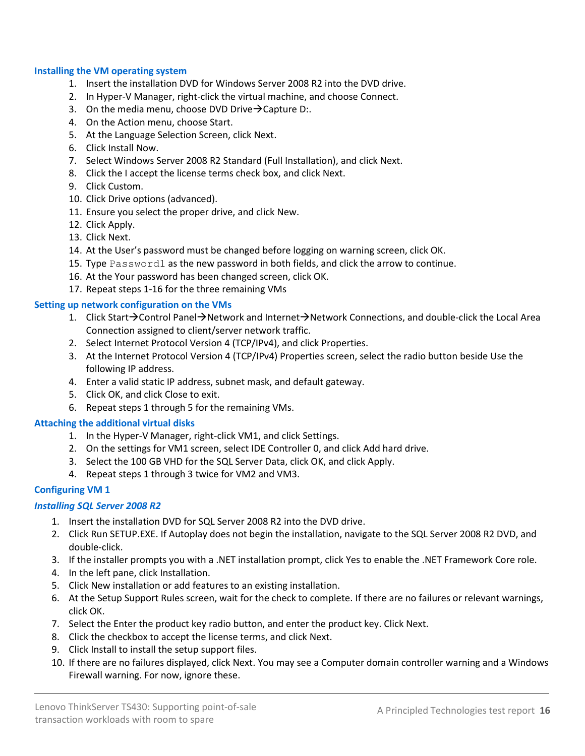#### **Installing the VM operating system**

- 1. Insert the installation DVD for Windows Server 2008 R2 into the DVD drive.
- 2. In Hyper-V Manager, right-click the virtual machine, and choose Connect.
- 3. On the media menu, choose DVD Drive $\rightarrow$ Capture D:.
- 4. On the Action menu, choose Start.
- 5. At the Language Selection Screen, click Next.
- 6. Click Install Now.
- 7. Select Windows Server 2008 R2 Standard (Full Installation), and click Next.
- 8. Click the I accept the license terms check box, and click Next.
- 9. Click Custom.
- 10. Click Drive options (advanced).
- 11. Ensure you select the proper drive, and click New.
- 12. Click Apply.
- 13. Click Next.
- 14. At the User's password must be changed before logging on warning screen, click OK.
- 15. Type Password1 as the new password in both fields, and click the arrow to continue.
- 16. At the Your password has been changed screen, click OK.
- 17. Repeat steps 1-16 for the three remaining VMs

#### **Setting up network configuration on the VMs**

- 1. Click Start $\rightarrow$ Control Panel $\rightarrow$ Network and Internet $\rightarrow$ Network Connections, and double-click the Local Area Connection assigned to client/server network traffic.
- 2. Select Internet Protocol Version 4 (TCP/IPv4), and click Properties.
- 3. At the Internet Protocol Version 4 (TCP/IPv4) Properties screen, select the radio button beside Use the following IP address.
- 4. Enter a valid static IP address, subnet mask, and default gateway.
- 5. Click OK, and click Close to exit.
- 6. Repeat steps 1 through 5 for the remaining VMs.

#### **Attaching the additional virtual disks**

- 1. In the Hyper-V Manager, right-click VM1, and click Settings.
- 2. On the settings for VM1 screen, select IDE Controller 0, and click Add hard drive.
- 3. Select the 100 GB VHD for the SQL Server Data, click OK, and click Apply.
- 4. Repeat steps 1 through 3 twice for VM2 and VM3.

#### **Configuring VM 1**

#### *Installing SQL Server 2008 R2*

- 1. Insert the installation DVD for SQL Server 2008 R2 into the DVD drive.
- 2. Click Run SETUP.EXE. If Autoplay does not begin the installation, navigate to the SQL Server 2008 R2 DVD, and double-click.
- 3. If the installer prompts you with a .NET installation prompt, click Yes to enable the .NET Framework Core role.
- 4. In the left pane, click Installation.
- 5. Click New installation or add features to an existing installation.
- 6. At the Setup Support Rules screen, wait for the check to complete. If there are no failures or relevant warnings, click OK.
- 7. Select the Enter the product key radio button, and enter the product key. Click Next.
- 8. Click the checkbox to accept the license terms, and click Next.
- 9. Click Install to install the setup support files.
- 10. If there are no failures displayed, click Next. You may see a Computer domain controller warning and a Windows Firewall warning. For now, ignore these.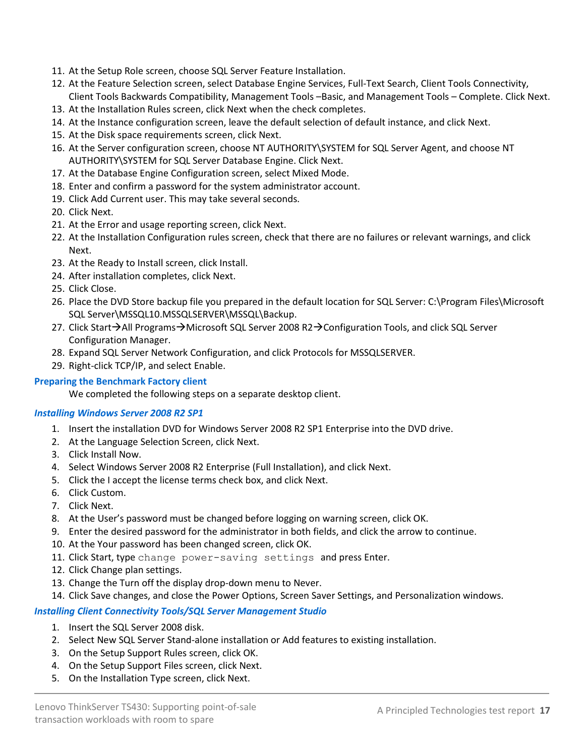- 11. At the Setup Role screen, choose SQL Server Feature Installation.
- 12. At the Feature Selection screen, select Database Engine Services, Full-Text Search, Client Tools Connectivity, Client Tools Backwards Compatibility, Management Tools –Basic, and Management Tools – Complete. Click Next.
- 13. At the Installation Rules screen, click Next when the check completes.
- 14. At the Instance configuration screen, leave the default selection of default instance, and click Next.
- 15. At the Disk space requirements screen, click Next.
- 16. At the Server configuration screen, choose NT AUTHORITY\SYSTEM for SQL Server Agent, and choose NT AUTHORITY\SYSTEM for SQL Server Database Engine. Click Next.
- 17. At the Database Engine Configuration screen, select Mixed Mode.
- 18. Enter and confirm a password for the system administrator account.
- 19. Click Add Current user. This may take several seconds.
- 20. Click Next.
- 21. At the Error and usage reporting screen, click Next.
- 22. At the Installation Configuration rules screen, check that there are no failures or relevant warnings, and click Next.
- 23. At the Ready to Install screen, click Install.
- 24. After installation completes, click Next.
- 25. Click Close.
- 26. Place the DVD Store backup file you prepared in the default location for SQL Server: C:\Program Files\Microsoft SQL Server\MSSQL10.MSSQLSERVER\MSSQL\Backup.
- 27. Click Start $\rightarrow$ All Programs $\rightarrow$ Microsoft SQL Server 2008 R2 $\rightarrow$ Configuration Tools, and click SQL Server Configuration Manager.
- 28. Expand SQL Server Network Configuration, and click Protocols for MSSQLSERVER.
- 29. Right-click TCP/IP, and select Enable.

#### **Preparing the Benchmark Factory client**

We completed the following steps on a separate desktop client.

#### *Installing Windows Server 2008 R2 SP1*

- 1. Insert the installation DVD for Windows Server 2008 R2 SP1 Enterprise into the DVD drive.
- 2. At the Language Selection Screen, click Next.
- 3. Click Install Now.
- 4. Select Windows Server 2008 R2 Enterprise (Full Installation), and click Next.
- 5. Click the I accept the license terms check box, and click Next.
- 6. Click Custom.
- 7. Click Next.
- 8. At the User's password must be changed before logging on warning screen, click OK.
- 9. Enter the desired password for the administrator in both fields, and click the arrow to continue.
- 10. At the Your password has been changed screen, click OK.
- 11. Click Start, type change power-saving settings and press Enter.
- 12. Click Change plan settings.
- 13. Change the Turn off the display drop-down menu to Never.
- 14. Click Save changes, and close the Power Options, Screen Saver Settings, and Personalization windows.

#### *Installing Client Connectivity Tools/SQL Server Management Studio*

- 1. Insert the SQL Server 2008 disk.
- 2. Select New SQL Server Stand-alone installation or Add features to existing installation.
- 3. On the Setup Support Rules screen, click OK.
- 4. On the Setup Support Files screen, click Next.
- 5. On the Installation Type screen, click Next.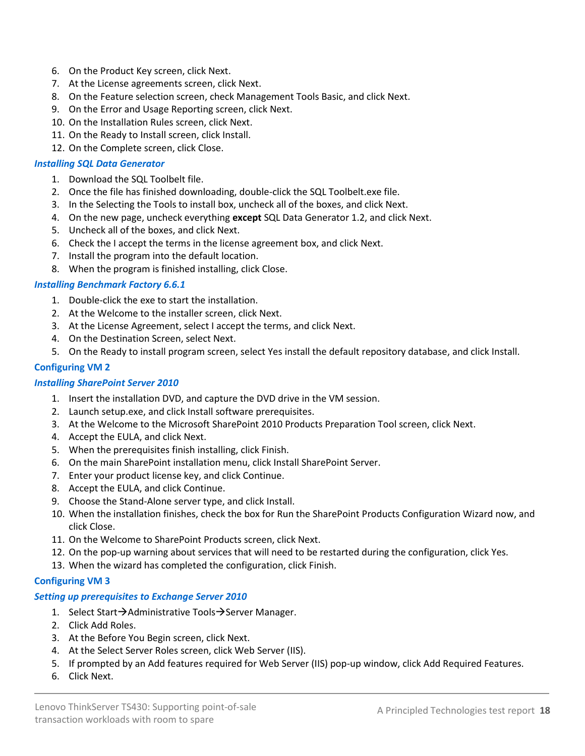- 6. On the Product Key screen, click Next.
- 7. At the License agreements screen, click Next.
- 8. On the Feature selection screen, check Management Tools Basic, and click Next.
- 9. On the Error and Usage Reporting screen, click Next.
- 10. On the Installation Rules screen, click Next.
- 11. On the Ready to Install screen, click Install.
- 12. On the Complete screen, click Close.

#### *Installing SQL Data Generator*

- 1. Download the SQL Toolbelt file.
- 2. Once the file has finished downloading, double-click the SQL Toolbelt.exe file.
- 3. In the Selecting the Tools to install box, uncheck all of the boxes, and click Next.
- 4. On the new page, uncheck everything **except** SQL Data Generator 1.2, and click Next.
- 5. Uncheck all of the boxes, and click Next.
- 6. Check the I accept the terms in the license agreement box, and click Next.
- 7. Install the program into the default location.
- 8. When the program is finished installing, click Close.

#### *Installing Benchmark Factory 6.6.1*

- 1. Double-click the exe to start the installation.
- 2. At the Welcome to the installer screen, click Next.
- 3. At the License Agreement, select I accept the terms, and click Next.
- 4. On the Destination Screen, select Next.
- 5. On the Ready to install program screen, select Yes install the default repository database, and click Install.

#### **Configuring VM 2**

#### *Installing SharePoint Server 2010*

- 1. Insert the installation DVD, and capture the DVD drive in the VM session.
- 2. Launch setup.exe, and click Install software prerequisites.
- 3. At the Welcome to the Microsoft SharePoint 2010 Products Preparation Tool screen, click Next.
- 4. Accept the EULA, and click Next.
- 5. When the prerequisites finish installing, click Finish.
- 6. On the main SharePoint installation menu, click Install SharePoint Server.
- 7. Enter your product license key, and click Continue.
- 8. Accept the EULA, and click Continue.
- 9. Choose the Stand-Alone server type, and click Install.
- 10. When the installation finishes, check the box for Run the SharePoint Products Configuration Wizard now, and click Close.
- 11. On the Welcome to SharePoint Products screen, click Next.
- 12. On the pop-up warning about services that will need to be restarted during the configuration, click Yes.
- 13. When the wizard has completed the configuration, click Finish.

#### **Configuring VM 3**

#### *Setting up prerequisites to Exchange Server 2010*

- 1. Select Start $\rightarrow$ Administrative Tools $\rightarrow$ Server Manager.
- 2. Click Add Roles.
- 3. At the Before You Begin screen, click Next.
- 4. At the Select Server Roles screen, click Web Server (IIS).
- 5. If prompted by an Add features required for Web Server (IIS) pop-up window, click Add Required Features.
- 6. Click Next.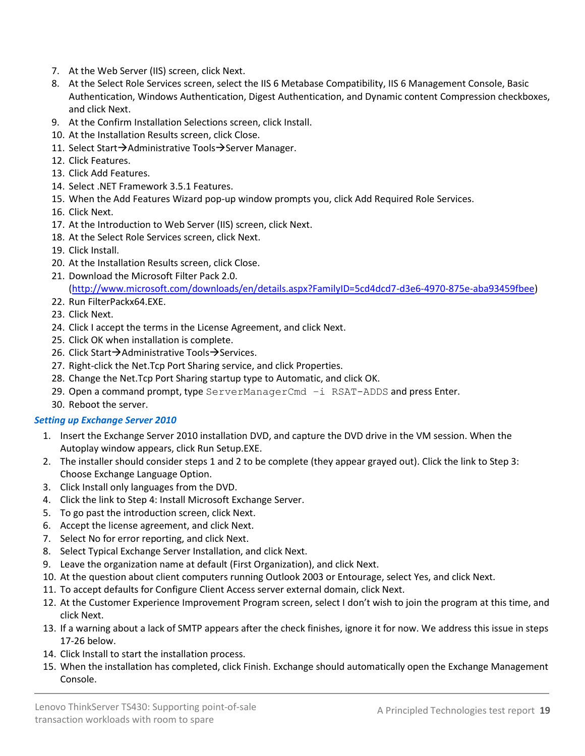- 7. At the Web Server (IIS) screen, click Next.
- 8. At the Select Role Services screen, select the IIS 6 Metabase Compatibility, IIS 6 Management Console, Basic Authentication, Windows Authentication, Digest Authentication, and Dynamic content Compression checkboxes, and click Next.
- 9. At the Confirm Installation Selections screen, click Install.
- 10. At the Installation Results screen, click Close.
- 11. Select Start $\rightarrow$ Administrative Tools $\rightarrow$ Server Manager.
- 12. Click Features.
- 13. Click Add Features.
- 14. Select .NET Framework 3.5.1 Features.
- 15. When the Add Features Wizard pop-up window prompts you, click Add Required Role Services.
- 16. Click Next.
- 17. At the Introduction to Web Server (IIS) screen, click Next.
- 18. At the Select Role Services screen, click Next.
- 19. Click Install.
- 20. At the Installation Results screen, click Close.
- 21. Download the Microsoft Filter Pack 2.0. [\(http://www.microsoft.com/downloads/en/details.aspx?FamilyID=5cd4dcd7-d3e6-4970-875e-aba93459fbee\)](http://www.microsoft.com/downloads/en/details.aspx?FamilyID=5cd4dcd7-d3e6-4970-875e-aba93459fbee)
- 22. Run FilterPackx64.EXE.
- 23. Click Next.
- 24. Click I accept the terms in the License Agreement, and click Next.
- 25. Click OK when installation is complete.
- 26. Click Start $\rightarrow$ Administrative Tools $\rightarrow$ Services.
- 27. Right-click the Net.Tcp Port Sharing service, and click Properties.
- 28. Change the Net.Tcp Port Sharing startup type to Automatic, and click OK.
- 29. Open a command prompt, type ServerManagerCmd –i RSAT-ADDS and press Enter.
- 30. Reboot the server.

### *Setting up Exchange Server 2010*

- 1. Insert the Exchange Server 2010 installation DVD, and capture the DVD drive in the VM session. When the Autoplay window appears, click Run Setup.EXE.
- 2. The installer should consider steps 1 and 2 to be complete (they appear grayed out). Click the link to Step 3: Choose Exchange Language Option.
- 3. Click Install only languages from the DVD.
- 4. Click the link to Step 4: Install Microsoft Exchange Server.
- 5. To go past the introduction screen, click Next.
- 6. Accept the license agreement, and click Next.
- 7. Select No for error reporting, and click Next.
- 8. Select Typical Exchange Server Installation, and click Next.
- 9. Leave the organization name at default (First Organization), and click Next.
- 10. At the question about client computers running Outlook 2003 or Entourage, select Yes, and click Next.
- 11. To accept defaults for Configure Client Access server external domain, click Next.
- 12. At the Customer Experience Improvement Program screen, select I don't wish to join the program at this time, and click Next.
- 13. If a warning about a lack of SMTP appears after the check finishes, ignore it for now. We address this issue in steps 17-26 below.
- 14. Click Install to start the installation process.
- 15. When the installation has completed, click Finish. Exchange should automatically open the Exchange Management Console.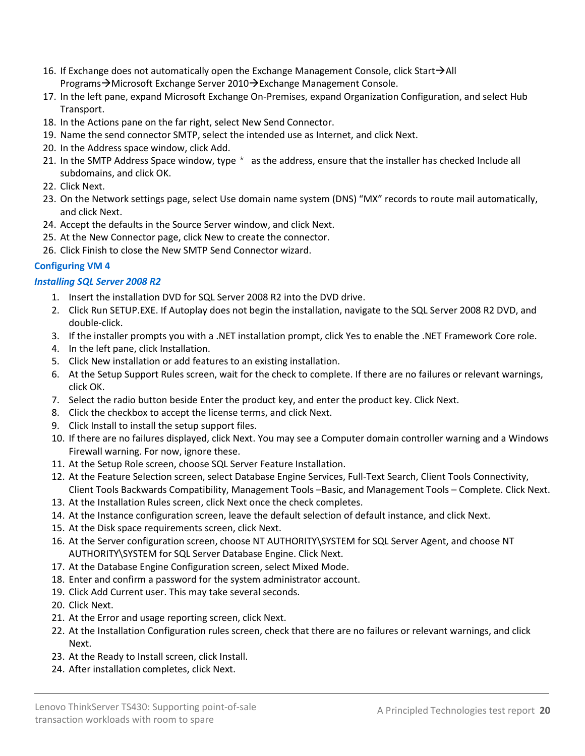- 16. If Exchange does not automatically open the Exchange Management Console, click Start $\rightarrow$ All Programs→Microsoft Exchange Server 2010→Exchange Management Console.
- 17. In the left pane, expand Microsoft Exchange On-Premises, expand Organization Configuration, and select Hub Transport.
- 18. In the Actions pane on the far right, select New Send Connector.
- 19. Name the send connector SMTP, select the intended use as Internet, and click Next.
- 20. In the Address space window, click Add.
- 21. In the SMTP Address Space window, type  $*$  as the address, ensure that the installer has checked Include all subdomains, and click OK.
- 22. Click Next.
- 23. On the Network settings page, select Use domain name system (DNS) "MX" records to route mail automatically, and click Next.
- 24. Accept the defaults in the Source Server window, and click Next.
- 25. At the New Connector page, click New to create the connector.
- 26. Click Finish to close the New SMTP Send Connector wizard.

## **Configuring VM 4**

### *Installing SQL Server 2008 R2*

- 1. Insert the installation DVD for SQL Server 2008 R2 into the DVD drive.
- 2. Click Run SETUP.EXE. If Autoplay does not begin the installation, navigate to the SQL Server 2008 R2 DVD, and double-click.
- 3. If the installer prompts you with a .NET installation prompt, click Yes to enable the .NET Framework Core role.
- 4. In the left pane, click Installation.
- 5. Click New installation or add features to an existing installation.
- 6. At the Setup Support Rules screen, wait for the check to complete. If there are no failures or relevant warnings, click OK.
- 7. Select the radio button beside Enter the product key, and enter the product key. Click Next.
- 8. Click the checkbox to accept the license terms, and click Next.
- 9. Click Install to install the setup support files.
- 10. If there are no failures displayed, click Next. You may see a Computer domain controller warning and a Windows Firewall warning. For now, ignore these.
- 11. At the Setup Role screen, choose SQL Server Feature Installation.
- 12. At the Feature Selection screen, select Database Engine Services, Full-Text Search, Client Tools Connectivity, Client Tools Backwards Compatibility, Management Tools –Basic, and Management Tools – Complete. Click Next.
- 13. At the Installation Rules screen, click Next once the check completes.
- 14. At the Instance configuration screen, leave the default selection of default instance, and click Next.
- 15. At the Disk space requirements screen, click Next.
- 16. At the Server configuration screen, choose NT AUTHORITY\SYSTEM for SQL Server Agent, and choose NT AUTHORITY\SYSTEM for SQL Server Database Engine. Click Next.
- 17. At the Database Engine Configuration screen, select Mixed Mode.
- 18. Enter and confirm a password for the system administrator account.
- 19. Click Add Current user. This may take several seconds.
- 20. Click Next.
- 21. At the Error and usage reporting screen, click Next.
- 22. At the Installation Configuration rules screen, check that there are no failures or relevant warnings, and click Next.
- 23. At the Ready to Install screen, click Install.
- 24. After installation completes, click Next.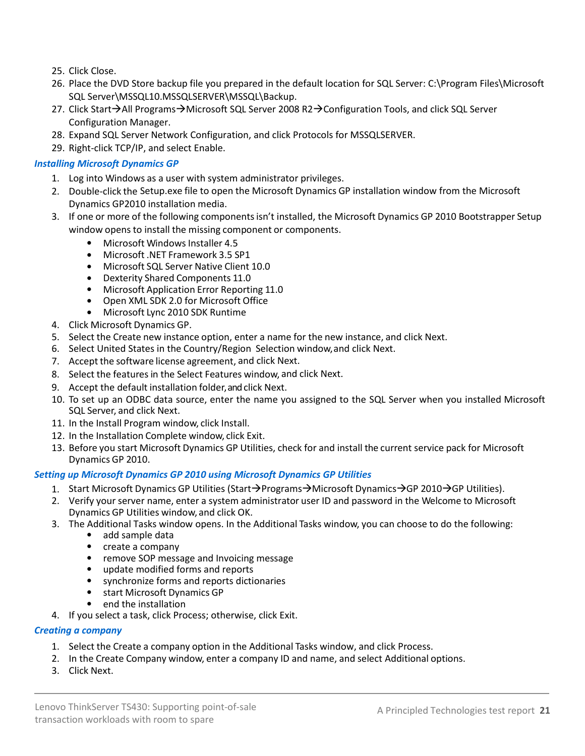- 25. Click Close.
- 26. Place the DVD Store backup file you prepared in the default location for SQL Server: C:\Program Files\Microsoft SQL Server\MSSQL10.MSSQLSERVER\MSSQL\Backup.
- 27. Click Start→All Programs→Microsoft SQL Server 2008 R2→Configuration Tools, and click SQL Server Configuration Manager.
- 28. Expand SQL Server Network Configuration, and click Protocols for MSSQLSERVER.
- 29. Right-click TCP/IP, and select Enable.

#### *Installing Microsoft Dynamics GP*

- 1. Log into Windows as a user with system administrator privileges.
- 2. Double-click the Setup.exe file to open the Microsoft Dynamics GP installation window from the Microsoft Dynamics GP2010 installation media.
- 3. If one or more of the following componentsisn't installed, the Microsoft Dynamics GP 2010 Bootstrapper Setup window opens to install the missing component or components.
	- Microsoft Windows Installer 4.5
	- Microsoft .NET Framework 3.5 SP1
	- Microsoft SQL Server Native Client 10.0
	- Dexterity Shared Components 11.0
	- Microsoft Application Error Reporting 11.0
	- Open XML SDK 2.0 for Microsoft Office
	- Microsoft Lync 2010 SDK Runtime
- 4. Click Microsoft Dynamics GP.
- 5. Select the Create new instance option, enter a name for the new instance, and click Next.
- 6. Select United States in the Country/Region Selection window, and click Next.
- 7. Accept the software license agreement, and click Next.
- 8. Select the features in the Select Features window, and click Next.
- 9. Accept the default installation folder, and click Next.
- 10. To set up an ODBC data source, enter the name you assigned to the SQL Server when you installed Microsoft SQL Server, and click Next.
- 11. In the Install Program window, click Install.
- 12. In the Installation Complete window, click Exit.
- 13. Before you start Microsoft Dynamics GP Utilities, check for and install the current service pack for Microsoft Dynamics GP 2010.

#### *Setting up Microsoft Dynamics GP 2010 using Microsoft Dynamics GP Utilities*

- 1. Start Microsoft Dynamics GP Utilities (Start $\rightarrow$ Programs $\rightarrow$ Microsoft Dynamics $\rightarrow$ GP 2010 $\rightarrow$ GP Utilities).
- 2. Verify your server name, enter a system administrator user ID and password in the Welcome to Microsoft Dynamics GP Utilities window, and click OK.
- 3. The Additional Tasks window opens. In the Additional Tasks window, you can choose to do the following:
	- add sample data
	- create a company
	- remove SOP message and Invoicing message
	- update modified forms and reports
	- synchronize forms and reports dictionaries
	- start Microsoft Dynamics GP
	- end the installation
- 4. If you select a task, click Process; otherwise, click Exit.

#### *Creating a company*

- 1. Select the Create a company option in the Additional Tasks window, and click Process.
- 2. In the Create Company window, enter a company ID and name, and select Additional options.
- 3. Click Next.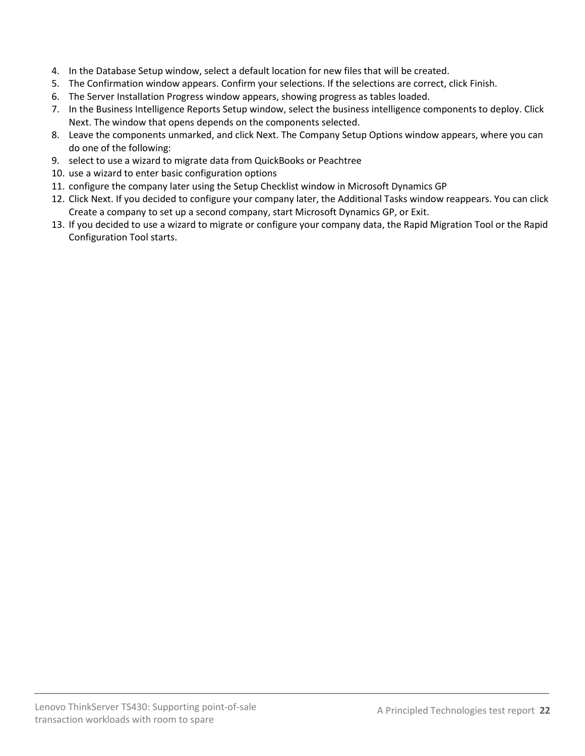- 4. In the Database Setup window, select a default location for new files that will be created.
- 5. The Confirmation window appears. Confirm your selections. If the selections are correct, click Finish.
- 6. The Server Installation Progress window appears, showing progress as tables loaded.
- 7. In the Business Intelligence Reports Setup window, select the business intelligence components to deploy. Click Next. The window that opens depends on the components selected.
- 8. Leave the components unmarked, and click Next. The Company Setup Options window appears, where you can do one of the following:
- 9. select to use a wizard to migrate data from QuickBooks or Peachtree
- 10. use a wizard to enter basic configuration options
- 11. configure the company later using the Setup Checklist window in Microsoft Dynamics GP
- 12. Click Next. If you decided to configure your company later, the Additional Tasks window reappears. You can click Create a company to set up a second company, start Microsoft Dynamics GP, or Exit.
- 13. If you decided to use a wizard to migrate or configure your company data, the Rapid Migration Tool or the Rapid Configuration Tool starts.